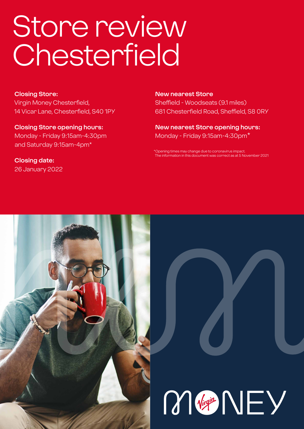# Store review Chesterfield

**Closing Store:** Virgin Money Chesterfield, 14 Vicar Lane, Chesterfield, S40 1PY

**Closing Store opening hours:**  Monday - Friday 9:15am-4:30pm and Saturday 9:15am-4pm\*

**Closing date:**  26 January 2022 **New nearest Store** Sheffield - Woodseats (9.1 miles) 681 Chesterfield Road, Sheffield, S8 0RY

**New nearest Store opening hours:** Monday - Friday 9:15am-4:30pm\*

ning times may change due to coronavirus impact information in this document was correct as at 5 November 2021



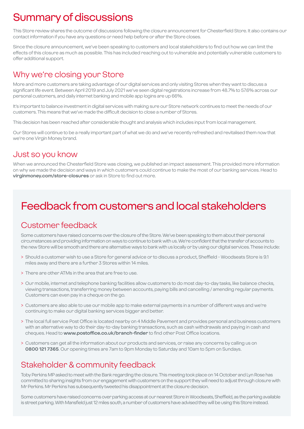# Summary of discussions

This Store review shares the outcome of discussions following the closure announcement for Chesterfield Store. It also contains our contact information if you have any questions or need help before or after the Store closes.

Since the closure announcement, we've been speaking to customers and local stakeholders to find out how we can limit the effects of this closure as much as possible. This has included reaching out to vulnerable and potentially vulnerable customers to offer additional support.

### Why we're closing your Store

More and more customers are taking advantage of our digital services and only visiting Stores when they want to discuss a significant life event. Between April 2019 and July 2021 we've seen digital registrations increase from 48.7% to 57.6% across our personal customers, and daily internet banking and mobile app logins are up 66%.

It's important to balance investment in digital services with making sure our Store network continues to meet the needs of our customers. This means that we've made the difficult decision to close a number of Stores.

This decision has been reached after considerable thought and analysis which includes input from local management.

Our Stores will continue to be a really important part of what we do and we've recently refreshed and revitalised them now that we're one Virgin Money brand.

### Just so you know

When we announced the Chesterfield Store was closing, we published an impact assessment. This provided more information on why we made the decision and ways in which customers could continue to make the most of our banking services. Head to **virginmoney.com/store-closures** or ask in Store to find out more.

# Feedback from customers and local stakeholders

### Customer feedback

Some customers have raised concerns over the closure of the Store. We've been speaking to them about their personal circumstances and providing information on ways to continue to bank with us. We're confident that the transfer of accounts to the new Store will be smooth and there are alternative ways to bank with us locally or by using our digital services. These include:

- > Should a customer wish to use a Store for general advice or to discuss a product, Sheffield Woodseats Store is 9.1 miles away and there are a further 3 Stores within 14 miles.
- > There are other ATMs in the area that are free to use.
- > Our mobile, internet and telephone banking facilities allow customers to do most day-to-day tasks, like balance checks, viewing transactions, transferring money between accounts, paying bills and cancelling / amending regular payments. Customers can even pay in a cheque on the go.
- > Customers are also able to use our mobile app to make external payments in a number of different ways and we're continuing to make our digital banking services bigger and better.
- > The local full service Post Office is located nearby on 4 Middle Pavement and provides personal and business customers with an alternative way to do their day-to-day banking transactions, such as cash withdrawals and paying in cash and cheques. Head to **www.postoffice.co.uk/branch-finder** to find other Post Office locations.
- > Customers can get all the information about our products and services, or raise any concerns by calling us on **0800 121 7365**. Our opening times are 7am to 9pm Monday to Saturday and 10am to 5pm on Sundays.

### Stakeholder & community feedback

Toby Perkins MP asked to meet with the Bank regarding the closure. This meeting took place on 14 October and Lyn Rose has committed to sharing insights from our engagement with customers on the support they will need to adjust through closure with Mr Perkins. Mr Perkins has subsequently tweeted his disappointment at the closure decision.

Some customers have raised concerns over parking access at our nearest Store in Woodseats, Sheffield, as the parking available is street parking. With Mansfield just 12 miles south, a number of customers have advised they will be using this Store instead.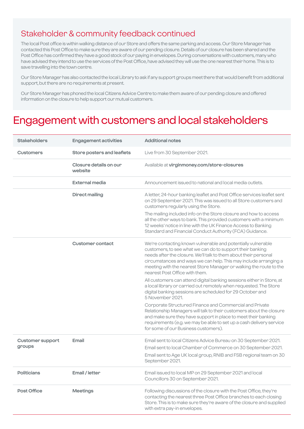### Stakeholder & community feedback continued

The local Post office is within walking distance of our Store and offers the same parking and access. Our Store Manager has contacted this Post Office to make sure they are aware of our pending closure. Details of our closure has been shared and the Post Office has confirmed they have a good stock of our paying in envelopes. During conversations with customers, many who have advised they intend to use the services of the Post Office, have advised they will use the one nearest their home. This is to save travelling into the town centre.

Our Store Manager has also contacted the local Library to ask if any support groups meet there that would benefit from additional support, but there are no requirements at present.

Our Store Manager has phoned the local Citizens Advice Centre to make them aware of our pending closure and offered information on the closure to help support our mutual customers.

### Engagement with customers and local stakeholders

| <b>Stakeholders</b>               | <b>Engagement activities</b>      | <b>Additional notes</b>                                                                                                                                                                                                                                                                                                                                                   |
|-----------------------------------|-----------------------------------|---------------------------------------------------------------------------------------------------------------------------------------------------------------------------------------------------------------------------------------------------------------------------------------------------------------------------------------------------------------------------|
| <b>Customers</b>                  | Store posters and leaflets        | Live from 30 September 2021.                                                                                                                                                                                                                                                                                                                                              |
|                                   | Closure details on our<br>website | Available at virginmoney.com/store-closures                                                                                                                                                                                                                                                                                                                               |
|                                   | <b>External media</b>             | Announcement issued to national and local media outlets.                                                                                                                                                                                                                                                                                                                  |
|                                   | <b>Direct mailing</b>             | A letter, 24-hour banking leaflet and Post Office services leaflet sent<br>on 29 September 2021. This was issued to all Store customers and<br>customers regularly using the Store.                                                                                                                                                                                       |
|                                   |                                   | The mailing included info on the Store closure and how to access<br>all the other ways to bank. This provided customers with a minimum<br>12 weeks' notice in line with the UK Finance Access to Banking<br>Standard and Financial Conduct Authority (FCA) Guidance.                                                                                                      |
|                                   | <b>Customer contact</b>           | We're contacting known vulnerable and potentially vulnerable<br>customers, to see what we can do to support their banking<br>needs after the closure. We'll talk to them about their personal<br>circumstances and ways we can help. This may include arranging a<br>meeting with the nearest Store Manager or walking the route to the<br>nearest Post Office with them. |
|                                   |                                   | All customers can attend digital banking sessions either in Store, at<br>a local library or carried out remotely when requested. The Store<br>digital banking sessions are scheduled for 29 October and<br>5 November 2021.                                                                                                                                               |
|                                   |                                   | Corporate Structured Finance and Commercial and Private<br>Relationship Managers will talk to their customers about the closure<br>and make sure they have support in place to meet their banking<br>requirements (e.g. we may be able to set up a cash delivery service<br>for some of our Business customers).                                                          |
| <b>Customer support</b><br>groups | Email                             | Email sent to local Citizens Advice Bureau on 30 September 2021.<br>Email sent to local Chamber of Commerce on 30 September 2021.<br>Email sent to Age UK local group, RNIB and FSB regional team on 30<br>September 2021.                                                                                                                                                |
| <b>Politicians</b>                | Email / letter                    | Email issued to local MP on 29 September 2021 and local<br>Councillors 30 on September 2021.                                                                                                                                                                                                                                                                              |
| Post Office                       | <b>Meetings</b>                   | Following discussions of the closure with the Post Office, they're<br>contacting the nearest three Post Office branches to each closing<br>Store. This is to make sure they're aware of the closure and supplied<br>with extra pay-in envelopes.                                                                                                                          |